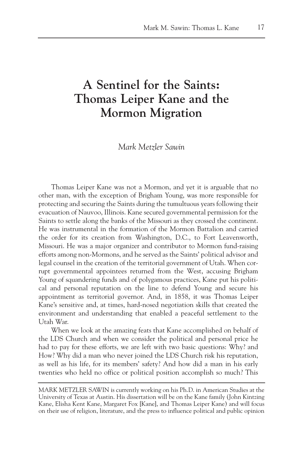## **A Sentinel for the Saints: Thomas Leiper Kane and the Mormon Migration**

*Mark Metzler Sawin*

Thomas Leiper Kane was not a Mormon, and yet it is arguable that no other man, with the exception of Brigham Young, was more responsible for protecting and securing the Saints during the tumultuous years following their evacuation of Nauvoo, Illinois. Kane secured governmental permission for the Saints to settle along the banks of the Missouri as they crossed the continent. He was instrumental in the formation of the Mormon Battalion and carried the order for its creation from Washington, D.C., to Fort Leavenworth, Missouri. He was a major organizer and contributor to Mormon fund-raising efforts among non-Mormons, and he served as the Saints' political advisor and legal counsel in the creation of the territorial government of Utah. When corrupt governmental appointees returned from the West, accusing Brigham Young of squandering funds and of polygamous practices, Kane put his political and personal reputation on the line to defend Young and secure his appointment as territorial governor. And, in 1858, it was Thomas Leiper Kane's sensitive and, at times, hard-nosed negotiation skills that created the environment and understanding that enabled a peaceful settlement to the Utah War.

When we look at the amazing feats that Kane accomplished on behalf of the LDS Church and when we consider the political and personal price he had to pay for these efforts, we are left with two basic questions: Why? and How? Why did a man who never joined the LDS Church risk his reputation, as well as his life, for its members' safety? And how did a man in his early twenties who held no office or political position accomplish so much? This

MARK METZLER SAWIN is currently working on his Ph.D. in American Studies at the University of Texas at Austin. His dissertation will be on the Kane family (John Kintzing Kane, Elisha Kent Kane, Margaret Fox [Kane], and Thomas Leiper Kane) and will focus on their use of religion, literature, and the press to influence political and public opinion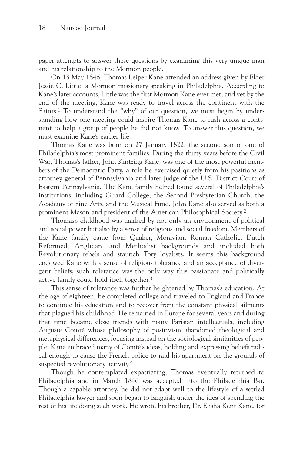paper attempts to answer these questions by examining this very unique man and his relationship to the Mormon people.

On 13 May 1846, Thomas Leiper Kane attended an address given by Elder Jessie C. Little, a Mormon missionary speaking in Philadelphia. According to Kane's later accounts, Little was the first Mormon Kane ever met, and yet by the end of the meeting, Kane was ready to travel across the continent with the Saints.<sup>1</sup> To understand the "why" of our question, we must begin by understanding how one meeting could inspire Thomas Kane to rush across a continent to help a group of people he did not know. To answer this question, we must examine Kane's earlier life.

Thomas Kane was born on 27 January 1822, the second son of one of Philadelphia's most prominent families. During the thirty years before the Civil War, Thomas's father, John Kintzing Kane, was one of the most powerful members of the Democratic Party, a role he exercised quietly from his positions as attorney general of Pennsylvania and later judge of the U.S. District Court of Eastern Pennsylvania. The Kane family helped found several of Philadelphia's institutions, including Girard College, the Second Presbyterian Church, the Academy of Fine Arts, and the Musical Fund. John Kane also served as both a prominent Mason and president of the American Philosophical Society.2

Thomas's childhood was marked by not only an environment of political and social power but also by a sense of religious and social freedom. Members of the Kane family came from Quaker, Moravian, Roman Catholic, Dutch Reformed, Anglican, and Methodist backgrounds and included both Revolutionary rebels and staunch Tory loyalists. It seems this background endowed Kane with a sense of religious tolerance and an acceptance of divergent beliefs; such tolerance was the only way this passionate and politically active family could hold itself together.3

This sense of tolerance was further heightened by Thomas's education. At the age of eighteen, he completed college and traveled to England and France to continue his education and to recover from the constant physical ailments that plagued his childhood. He remained in Europe for several years and during that time became close friends with many Parisian intellectuals, including Auguste Comté whose philosophy of positivism abandoned theological and metaphysical differences, focusing instead on the sociological similarities of people. Kane embraced many of Comté's ideas, holding and expressing beliefs radical enough to cause the French police to raid his apartment on the grounds of suspected revolutionary activity.4

Though he contemplated expatriating, Thomas eventually returned to Philadelphia and in March 1846 was accepted into the Philadelphia Bar. Though a capable attorney, he did not adapt well to the lifestyle of a settled Philadelphia lawyer and soon began to languish under the idea of spending the rest of his life doing such work. He wrote his brother, Dr. Elisha Kent Kane, for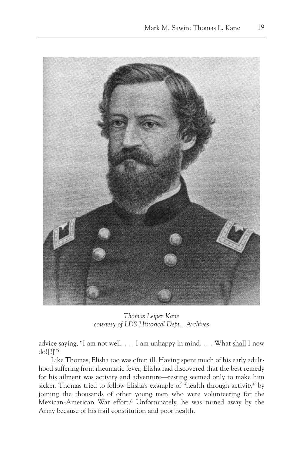

*Thomas Leiper Kane courtesy of LDS Historical Dept., Archives*

advice saying, "I am not well.  $\dots$  I am unhappy in mind.  $\dots$  What shall I now do![?]"5

Like Thomas, Elisha too was often ill. Having spent much of his early adulthood suffering from rheumatic fever, Elisha had discovered that the best remedy for his ailment was activity and adventure—resting seemed only to make him sicker. Thomas tried to follow Elisha's example of "health through activity" by joining the thousands of other young men who were volunteering for the Mexican-American War effort.<sup>6</sup> Unfortunately, he was turned away by the Army because of his frail constitution and poor health.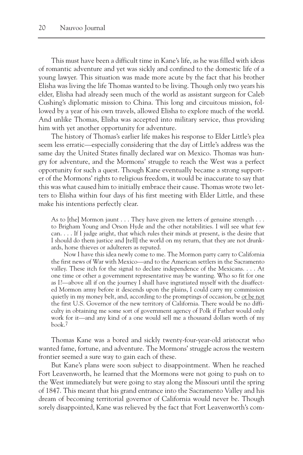This must have been a difficult time in Kane's life, as he was filled with ideas of romantic adventure and yet was sickly and confined to the domestic life of a young lawyer. This situation was made more acute by the fact that his brother Elisha was living the life Thomas wanted to be living. Though only two years his elder, Elisha had already seen much of the world as assistant surgeon for Caleb Cushing's diplomatic mission to China. This long and circuitous mission, followed by a year of his own travels, allowed Elisha to explore much of the world. And unlike Thomas, Elisha was accepted into military service, thus providing him with yet another opportunity for adventure.

The history of Thomas's earlier life makes his response to Elder Little's plea seem less erratic—especially considering that the day of Little's address was the same day the United States finally declared war on Mexico. Thomas was hungry for adventure, and the Mormons' struggle to reach the West was a perfect opportunity for such a quest. Though Kane eventually became a strong supporter of the Mormons' rights to religious freedom, it would be inaccurate to say that this was what caused him to initially embrace their cause. Thomas wrote two letters to Elisha within four days of his first meeting with Elder Little, and these make his intentions perfectly clear.

As to [the] Mormon jaunt  $\dots$  They have given me letters of genuine strength  $\dots$ to Brigham Young and Orson Hyde and the other notabilities. I will see what few can. . . . If I judge aright, that which rules their minds at present, is the desire that I should do them justice and [tell] the world on my return, that they are not drunkards, horse thieves or adulterers as reputed.

Now I have this idea newly come to me. The Mormon party carry to California the first news of War with Mexico—and to the American settlers in the Sacramento valley. These itch for the signal to declare independence of the Mexicans. . . . At one time or other a government representative may be wanting. Who so fit for one as I?—above all if on the journey I shall have ingratiated myself with the disaffected Mormon army before it descends upon the plains, I could carry my commission quietly in my money belt, and, according to the promptings of occasion, be or be not the first U.S. Governor of the new territory of California. There would be no difficulty in obtaining me some sort of government agency of Polk if Father would only work for it—and any kind of a one would sell me a thousand dollars worth of my book.7

Thomas Kane was a bored and sickly twenty-four-year-old aristocrat who wanted fame, fortune, and adventure. The Mormons' struggle across the western frontier seemed a sure way to gain each of these.

But Kane's plans were soon subject to disappointment. When he reached Fort Leavenworth, he learned that the Mormons were not going to push on to the West immediately but were going to stay along the Missouri until the spring of 1847. This meant that his grand entrance into the Sacramento Valley and his dream of becoming territorial governor of California would never be. Though sorely disappointed, Kane was relieved by the fact that Fort Leavenworth's com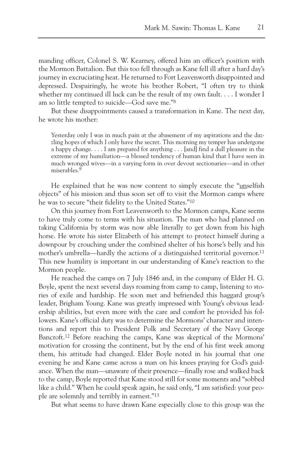manding officer, Colonel S. W. Kearney, offered him an officer's position with the Mormon Battalion. But this too fell through as Kane fell ill after a hard day's journey in excruciating heat. He returned to Fort Leavenworth disappointed and depressed. Despairingly, he wrote his brother Robert, "I often try to think whether my continued ill luck can be the result of my own fault. . . . I wonder I am so little tempted to suicide—God save me."8

But these disappointments caused a transformation in Kane. The next day, he wrote his mother:

Yesterday only I was in much pain at the abasement of my aspirations and the dazzling hopes of which I only have the secret. This morning my temper has undergone a happy change. . . . I am prepared for anything . . . [and] find a dull pleasure in the extreme of my humiliation—a blessed tendency of human kind that I have seen in much wronged wives—in a varying form in over devout sectionaries—and in other miserables.<sup>9</sup>

He explained that he was now content to simply execute the "unselfish" objects" of his mission and thus soon set off to visit the Mormon camps where he was to secure "their fidelity to the United States."10

On this journey from Fort Leavenworth to the Mormon camps, Kane seems to have truly come to terms with his situation. The man who had planned on taking California by storm was now able literally to get down from his high horse. He wrote his sister Elizabeth of his attempt to protect himself during a downpour by crouching under the combined shelter of his horse's belly and his mother's umbrella—hardly the actions of a distinguished territorial governor.11 This new humility is important in our understanding of Kane's reaction to the Mormon people.

He reached the camps on 7 July 1846 and, in the company of Elder H. G. Boyle, spent the next several days roaming from camp to camp, listening to stories of exile and hardship. He soon met and befriended this haggard group's leader, Brigham Young. Kane was greatly impressed with Young's obvious leadership abilities, but even more with the care and comfort he provided his followers. Kane's official duty was to determine the Mormons' character and intentions and report this to President Polk and Secretary of the Navy George Bancroft.12 Before reaching the camps, Kane was skeptical of the Mormons' motivation for crossing the continent, but by the end of his first week among them, his attitude had changed. Elder Boyle noted in his journal that one evening he and Kane came across a man on his knees praying for God's guidance. When the man—unaware of their presence—finally rose and walked back to the camp, Boyle reported that Kane stood still for some moments and "sobbed like a child." When he could speak again, he said only, "I am satisfied: your people are solemnly and terribly in earnest."13

But what seems to have drawn Kane especially close to this group was the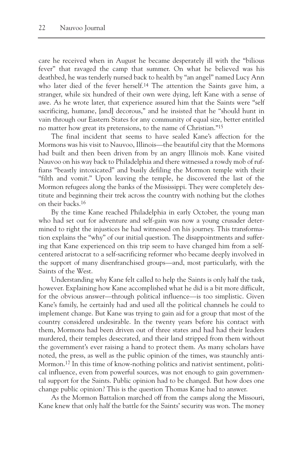care he received when in August he became desperately ill with the "bilious fever" that ravaged the camp that summer. On what he believed was his deathbed, he was tenderly nursed back to health by "an angel" named Lucy Ann who later died of the fever herself.<sup>14</sup> The attention the Saints gave him, a stranger, while six hundred of their own were dying, left Kane with a sense of awe. As he wrote later, that experience assured him that the Saints were "self sacrificing, humane, [and] decorous," and he insisted that he "should hunt in vain through our Eastern States for any community of equal size, better entitled no matter how great its pretensions, to the name of Christian."15

The final incident that seems to have sealed Kane's affection for the Mormons was his visit to Nauvoo, Illinois—the beautiful city that the Mormons had built and then been driven from by an angry Illinois mob. Kane visited Nauvoo on his way back to Philadelphia and there witnessed a rowdy mob of ruffians "beastly intoxicated" and busily defiling the Mormon temple with their "filth and vomit." Upon leaving the temple, he discovered the last of the Mormon refugees along the banks of the Mississippi. They were completely destitute and beginning their trek across the country with nothing but the clothes on their backs.16

By the time Kane reached Philadelphia in early October, the young man who had set out for adventure and self-gain was now a young crusader determined to right the injustices he had witnessed on his journey. This transformation explains the "why" of our initial question. The disappointments and suffering that Kane experienced on this trip seem to have changed him from a selfcentered aristocrat to a self-sacrificing reformer who became deeply involved in the support of many disenfranchised groups—and, most particularly, with the Saints of the West.

Understanding why Kane felt called to help the Saints is only half the task, however. Explaining how Kane accomplished what he did is a bit more difficult, for the obvious answer—through political influence—is too simplistic. Given Kane's family, he certainly had and used all the political channels he could to implement change. But Kane was trying to gain aid for a group that most of the country considered undesirable. In the twenty years before his contact with them, Mormons had been driven out of three states and had had their leaders murdered, their temples desecrated, and their land stripped from them without the government's ever raising a hand to protect them. As many scholars have noted, the press, as well as the public opinion of the times, was staunchly anti-Mormon.<sup>17</sup> In this time of know-nothing politics and nativist sentiment, political influence, even from powerful sources, was not enough to gain governmental support for the Saints. Public opinion had to be changed. But how does one change public opinion? This is the question Thomas Kane had to answer.

As the Mormon Battalion marched off from the camps along the Missouri, Kane knew that only half the battle for the Saints' security was won. The money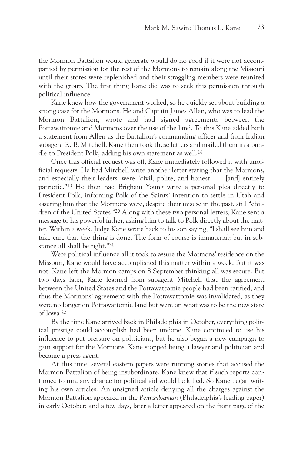the Mormon Battalion would generate would do no good if it were not accompanied by permission for the rest of the Mormons to remain along the Missouri until their stores were replenished and their straggling members were reunited with the group. The first thing Kane did was to seek this permission through political influence.

Kane knew how the government worked, so he quickly set about building a strong case for the Mormons. He and Captain James Allen, who was to lead the Mormon Battalion, wrote and had signed agreements between the Pottawattomie and Mormons over the use of the land. To this Kane added both a statement from Allen as the Battalion's commanding officer and from Indian subagent R. B. Mitchell. Kane then took these letters and mailed them in a bundle to President Polk, adding his own statement as well.18

Once this official request was off, Kane immediately followed it with unofficial requests. He had Mitchell write another letter stating that the Mormons, and especially their leaders, were "civil, polite, and honest . . . [and] entirely patriotic."19 He then had Brigham Young write a personal plea directly to President Polk, informing Polk of the Saints' intention to settle in Utah and assuring him that the Mormons were, despite their misuse in the past, still "children of the United States."20 Along with these two personal letters, Kane sent a message to his powerful father, asking him to talk to Polk directly about the matter. Within a week, Judge Kane wrote back to his son saying, "I shall see him and take care that the thing is done. The form of course is immaterial; but in substance all shall be right."21

Were political influence all it took to assure the Mormons' residence on the Missouri, Kane would have accomplished this matter within a week. But it was not. Kane left the Mormon camps on 8 September thinking all was secure. But two days later, Kane learned from subagent Mitchell that the agreement between the United States and the Pottawattomie people had been ratified; and thus the Mormons' agreement with the Pottawattomie was invalidated, as they were no longer on Pottawattomie land but were on what was to be the new state of Iowa.22

By the time Kane arrived back in Philadelphia in October, everything political prestige could accomplish had been undone. Kane continued to use his influence to put pressure on politicians, but he also began a new campaign to gain support for the Mormons. Kane stopped being a lawyer and politician and became a press agent.

At this time, several eastern papers were running stories that accused the Mormon Battalion of being insubordinate. Kane knew that if such reports continued to run, any chance for political aid would be killed. So Kane began writing his own articles. An unsigned article denying all the charges against the Mormon Battalion appeared in the *Pennsylvanian* (Philadelphia's leading paper) in early October; and a few days, later a letter appeared on the front page of the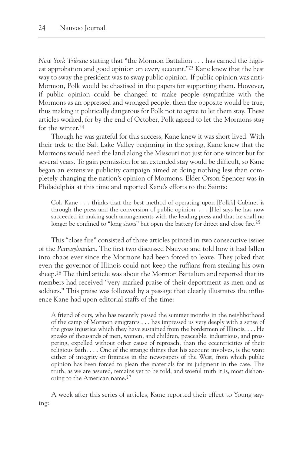*New York Tribune* stating that "the Mormon Battalion . . . has earned the highest approbation and good opinion on every account."23 Kane knew that the best way to sway the president was to sway public opinion. If public opinion was anti-Mormon, Polk would be chastised in the papers for supporting them. However, if public opinion could be changed to make people sympathize with the Mormons as an oppressed and wronged people, then the opposite would be true, thus making it politically dangerous for Polk not to agree to let them stay. These articles worked, for by the end of October, Polk agreed to let the Mormons stay for the winter.24

Though he was grateful for this success, Kane knew it was short lived. With their trek to the Salt Lake Valley beginning in the spring, Kane knew that the Mormons would need the land along the Missouri not just for one winter but for several years. To gain permission for an extended stay would be difficult, so Kane began an extensive publicity campaign aimed at doing nothing less than completely changing the nation's opinion of Mormons. Elder Orson Spencer was in Philadelphia at this time and reported Kane's efforts to the Saints:

Col. Kane . . . thinks that the best method of operating upon [Polk's] Cabinet is through the press and the conversion of public opinion.  $\dots$  [He] says he has now succeeded in making such arrangements with the leading press and that he shall no longer be confined to "long shots" but open the battery for direct and close fire.<sup>25</sup>

This "close fire" consisted of three articles printed in two consecutive issues of the *Pennsylvanian*. The first two discussed Nauvoo and told how it had fallen into chaos ever since the Mormons had been forced to leave. They joked that even the governor of Illinois could not keep the ruffians from stealing his own sheep.26 The third article was about the Mormon Battalion and reported that its members had received "very marked praise of their deportment as men and as soldiers." This praise was followed by a passage that clearly illustrates the influence Kane had upon editorial staffs of the time:

A friend of ours, who has recently passed the summer months in the neighborhood of the camp of Mormon emigrants . . . has impressed us very deeply with a sense of the gross injustice which they have sustained from the bordermen of Illinois. . . . He speaks of thousands of men, women, and children, peaceable, industrious, and prospering, expelled without other cause of reproach, than the eccentricities of their religious faith. . . . One of the strange things that his account involves, is the want either of integrity or firmness in the newspapers of the West, from which public opinion has been forced to glean the materials for its judgment in the case. The truth, as we are assured, remains yet to be told; and woeful truth it is, most dishonoring to the American name.27

A week after this series of articles, Kane reported their effect to Young saying: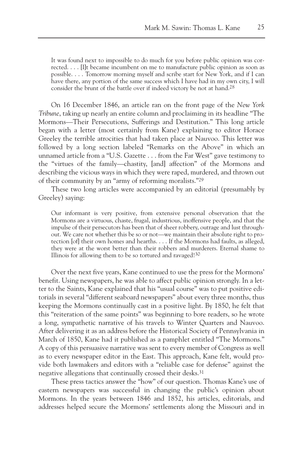It was found next to impossible to do much for you before public opinion was corrected. . . . [I]t became incumbent on me to manufacture public opinion as soon as possible. . . . Tomorrow morning myself and scribe start for New York, and if I can have there, any portion of the same success which I have had in my own city, I will consider the brunt of the battle over if indeed victory be not at hand.28

On 16 December 1846, an article ran on the front page of the *New York Tribune*, taking up nearly an entire column and proclaiming in its headline "The Mormons—Their Persecutions, Sufferings and Destitution." This long article began with a letter (most certainly from Kane) explaining to editor Horace Greeley the terrible atrocities that had taken place at Nauvoo. This letter was followed by a long section labeled "Remarks on the Above" in which an unnamed article from a "U.S. Gazette . . . from the Far West" gave testimony to the "virtues of the family—chastity, [and] affection" of the Mormons and describing the vicious ways in which they were raped, murdered, and thrown out of their community by an "army of reforming moralists."29

These two long articles were accompanied by an editorial (presumably by Greeley) saying:

Our informant is very positive, from extensive personal observation that the Mormons are a virtuous, chaste, frugal, industrious, inoffensive people, and that the impulse of their persecutors has been that of sheer robbery, outrage and lust throughout. We care not whether this be so or not—we maintain their absolute right to protection [of] their own homes and hearths. . . . If the Mormons had faults, as alleged, they were at the worst better than their robbers and murderers. Eternal shame to Illinois for allowing them to be so tortured and ravaged!30

Over the next five years, Kane continued to use the press for the Mormons' benefit. Using newspapers, he was able to affect public opinion strongly. In a letter to the Saints, Kane explained that his "usual course" was to put positive editorials in several "different seaboard newspapers" about every three months, thus keeping the Mormons continually cast in a positive light. By 1850, he felt that this "reiteration of the same points" was beginning to bore readers, so he wrote a long, sympathetic narrative of his travels to Winter Quarters and Nauvoo. After delivering it as an address before the Historical Society of Pennsylvania in March of 1850, Kane had it published as a pamphlet entitled "The Mormons." A copy of this persuasive narrative was sent to every member of Congress as well as to every newspaper editor in the East. This approach, Kane felt, would provide both lawmakers and editors with a "reliable case for defense" against the negative allegations that continually crossed their desks.31

These press tactics answer the "how" of our question. Thomas Kane's use of eastern newspapers was successful in changing the public's opinion about Mormons. In the years between 1846 and 1852, his articles, editorials, and addresses helped secure the Mormons' settlements along the Missouri and in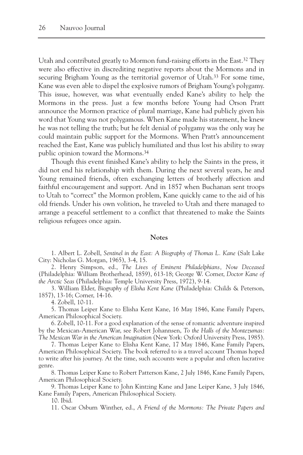Utah and contributed greatly to Mormon fund-raising efforts in the East.32 They were also effective in discrediting negative reports about the Mormons and in securing Brigham Young as the territorial governor of Utah.33 For some time, Kane was even able to dispel the explosive rumors of Brigham Young's polygamy. This issue, however, was what eventually ended Kane's ability to help the Mormons in the press. Just a few months before Young had Orson Pratt announce the Mormon practice of plural marriage, Kane had publicly given his word that Young was not polygamous. When Kane made his statement, he knew he was not telling the truth; but he felt denial of polygamy was the only way he could maintain public support for the Mormons. When Pratt's announcement reached the East, Kane was publicly humiliated and thus lost his ability to sway public opinion toward the Mormons.34

Though this event finished Kane's ability to help the Saints in the press, it did not end his relationship with them. During the next several years, he and Young remained friends, often exchanging letters of brotherly affection and faithful encouragement and support. And in 1857 when Buchanan sent troops to Utah to "correct" the Mormon problem, Kane quickly came to the aid of his old friends. Under his own volition, he traveled to Utah and there managed to arrange a peaceful settlement to a conflict that threatened to make the Saints religious refugees once again.

## **Notes**

1. Albert L. Zobell, *Sentinel in the East: A Biography of Thomas L. Kane* (Salt Lake City: Nicholas G. Morgan, 1965), 3-4, 15.

2. Henry Simpson, ed., *The Lives of Eminent Philadelphians, Now Deceased* (Philadelphia: William Brotherhead, 1859), 613-18; George W. Corner, *Doctor Kane of the Arctic Seas* (Philadelphia: Temple University Press, 1972), 9-14.

3. William Elder, *Biography of Elisha Kent Kane* (Philadelphia: Childs & Peterson, 1857), 13-16; Corner, 14-16.

4. Zobell, 10-11.

5. Thomas Leiper Kane to Elisha Kent Kane, 16 May 1846, Kane Family Papers, American Philosophical Society.

6. Zobell, 10-11. For a good explanation of the sense of romantic adventure inspired by the Mexican-American War, see Robert Johannsen, *To the Halls of the Montezumas: The Mexican War in the American Imagination* (New York: Oxford University Press, 1985).

7. Thomas Leiper Kane to Elisha Kent Kane, 17 May 1846, Kane Family Papers, American Philosophical Society. The book referred to is a travel account Thomas hoped to write after his journey. At the time, such accounts were a popular and often lucrative genre.

8. Thomas Leiper Kane to Robert Patterson Kane, 2 July 1846, Kane Family Papers, American Philosophical Society.

9. Thomas Leiper Kane to John Kintzing Kane and Jane Leiper Kane, 3 July 1846, Kane Family Papers, American Philosophical Society.

10. Ibid.

11. Oscar Osburn Winther, ed., *A Friend of the Mormons: The Private Papers and*